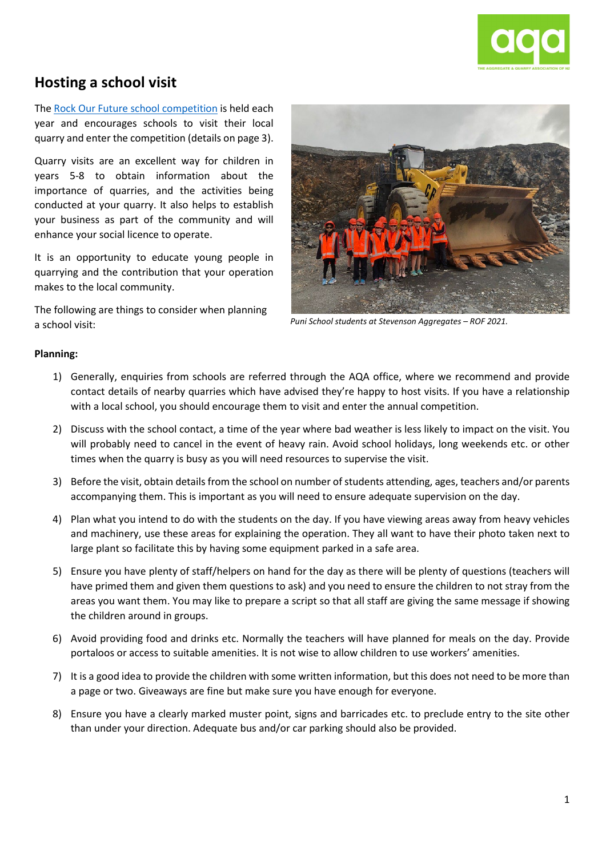

# **Hosting a school visit**

The Rock Our Future [school competition](https://aqa.org.nz/rock-our-future-competition/) is held each year and encourages schools to visit their local quarry and enter the competition (details on page 3).

Quarry visits are an excellent way for children in years 5-8 to obtain information about the importance of quarries, and the activities being conducted at your quarry. It also helps to establish your business as part of the community and will enhance your social licence to operate.

It is an opportunity to educate young people in quarrying and the contribution that your operation makes to the local community.

The following are things to consider when planning a school visit:



*Puni School students at Stevenson Aggregates – ROF 2021.*

#### **Planning:**

- 1) Generally, enquiries from schools are referred through the AQA office, where we recommend and provide contact details of nearby quarries which have advised they're happy to host visits. If you have a relationship with a local school, you should encourage them to visit and enter the annual competition.
- 2) Discuss with the school contact, a time of the year where bad weather is less likely to impact on the visit. You will probably need to cancel in the event of heavy rain. Avoid school holidays, long weekends etc. or other times when the quarry is busy as you will need resources to supervise the visit.
- 3) Before the visit, obtain details from the school on number of students attending, ages, teachers and/or parents accompanying them. This is important as you will need to ensure adequate supervision on the day.
- 4) Plan what you intend to do with the students on the day. If you have viewing areas away from heavy vehicles and machinery, use these areas for explaining the operation. They all want to have their photo taken next to large plant so facilitate this by having some equipment parked in a safe area.
- 5) Ensure you have plenty of staff/helpers on hand for the day as there will be plenty of questions (teachers will have primed them and given them questions to ask) and you need to ensure the children to not stray from the areas you want them. You may like to prepare a script so that all staff are giving the same message if showing the children around in groups.
- 6) Avoid providing food and drinks etc. Normally the teachers will have planned for meals on the day. Provide portaloos or access to suitable amenities. It is not wise to allow children to use workers' amenities.
- 7) It is a good idea to provide the children with some written information, but this does not need to be more than a page or two. Giveaways are fine but make sure you have enough for everyone.
- 8) Ensure you have a clearly marked muster point, signs and barricades etc. to preclude entry to the site other than under your direction. Adequate bus and/or car parking should also be provided.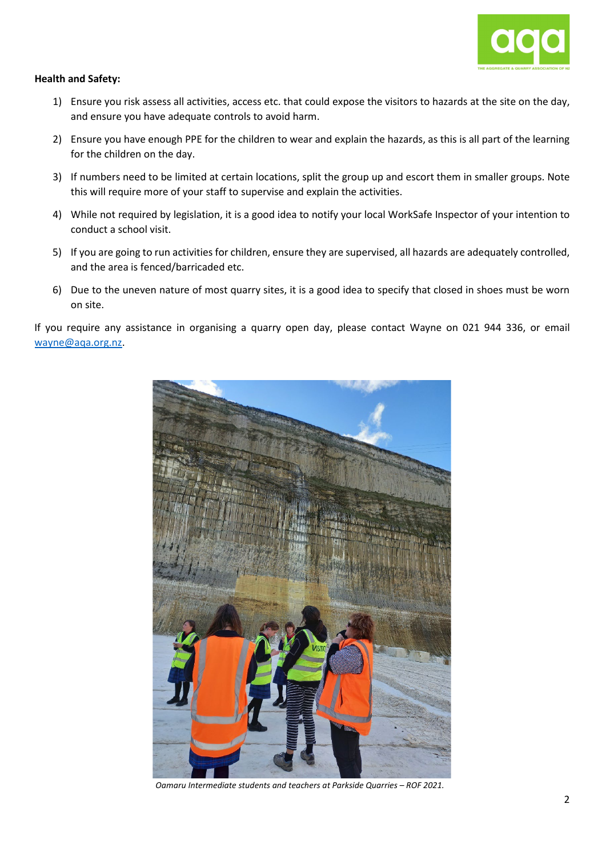

#### **Health and Safety:**

- 1) Ensure you risk assess all activities, access etc. that could expose the visitors to hazards at the site on the day, and ensure you have adequate controls to avoid harm.
- 2) Ensure you have enough PPE for the children to wear and explain the hazards, as this is all part of the learning for the children on the day.
- 3) If numbers need to be limited at certain locations, split the group up and escort them in smaller groups. Note this will require more of your staff to supervise and explain the activities.
- 4) While not required by legislation, it is a good idea to notify your local WorkSafe Inspector of your intention to conduct a school visit.
- 5) If you are going to run activities for children, ensure they are supervised, all hazards are adequately controlled, and the area is fenced/barricaded etc.
- 6) Due to the uneven nature of most quarry sites, it is a good idea to specify that closed in shoes must be worn on site.

If you require any assistance in organising a quarry open day, please contact Wayne on 021 944 336, or email [wayne@aqa.org.nz.](mailto:wayne@aqa.org.nz)



*Oamaru Intermediate students and teachers at Parkside Quarries – ROF 2021.*